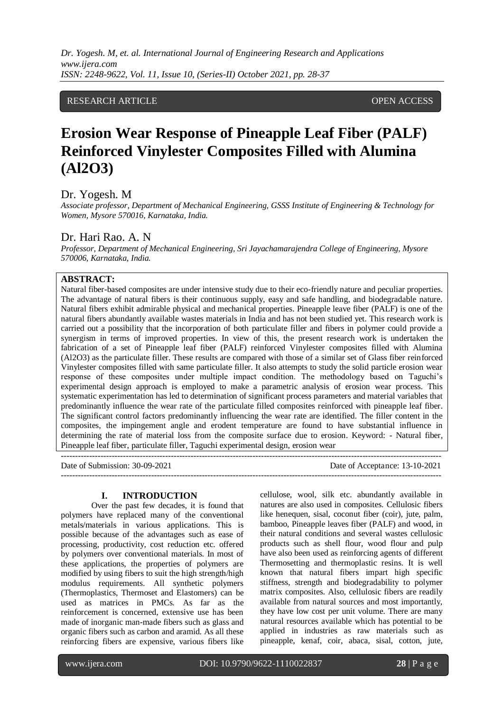*Dr. Yogesh. M, et. al. International Journal of Engineering Research and Applications www.ijera.com ISSN: 2248-9622, Vol. 11, Issue 10, (Series-II) October 2021, pp. 28-37*

## RESEARCH ARTICLE **CONSERVERS** OPEN ACCESS

# **Erosion Wear Response of Pineapple Leaf Fiber (PALF) Reinforced Vinylester Composites Filled with Alumina (Al2O3)**

## Dr. Yogesh. M

*Associate professor, Department of Mechanical Engineering, GSSS Institute of Engineering & Technology for Women, Mysore 570016, Karnataka, India.* 

## Dr. Hari Rao. A. N

*Professor, Department of Mechanical Engineering, Sri Jayachamarajendra College of Engineering, Mysore 570006, Karnataka, India.* 

# **ABSTRACT:**

Natural fiber-based composites are under intensive study due to their eco-friendly nature and peculiar properties. The advantage of natural fibers is their continuous supply, easy and safe handling, and biodegradable nature. Natural fibers exhibit admirable physical and mechanical properties. Pineapple leave fiber (PALF) is one of the natural fibers abundantly available wastes materials in India and has not been studied yet. This research work is carried out a possibility that the incorporation of both particulate filler and fibers in polymer could provide a synergism in terms of improved properties. In view of this, the present research work is undertaken the fabrication of a set of Pineapple leaf fiber (PALF) reinforced Vinylester composites filled with Alumina (Al2O3) as the particulate filler. These results are compared with those of a similar set of Glass fiber reinforced Vinylester composites filled with same particulate filler. It also attempts to study the solid particle erosion wear response of these composites under multiple impact condition. The methodology based on Taguchi"s experimental design approach is employed to make a parametric analysis of erosion wear process. This systematic experimentation has led to determination of significant process parameters and material variables that predominantly influence the wear rate of the particulate filled composites reinforced with pineapple leaf fiber. The significant control factors predominantly influencing the wear rate are identified. The filler content in the composites, the impingement angle and erodent temperature are found to have substantial influence in determining the rate of material loss from the composite surface due to erosion. Keyword: - Natural fiber, Pineapple leaf fiber, particulate filler, Taguchi experimental design, erosion wear

| Date of Submission: 30-09-2021 | Date of Acceptance: 13-10-2021 |
|--------------------------------|--------------------------------|
|                                |                                |

#### **I. INTRODUCTION**

Over the past few decades, it is found that polymers have replaced many of the conventional metals/materials in various applications. This is possible because of the advantages such as ease of processing, productivity, cost reduction etc. offered by polymers over conventional materials. In most of these applications, the properties of polymers are modified by using fibers to suit the high strength/high modulus requirements. All synthetic polymers (Thermoplastics, Thermoset and Elastomers) can be used as matrices in PMCs. As far as the reinforcement is concerned, extensive use has been made of inorganic man-made fibers such as glass and organic fibers such as carbon and aramid. As all these reinforcing fibers are expensive, various fibers like

cellulose, wool, silk etc. abundantly available in natures are also used in composites. Cellulosic fibers like henequen, sisal, coconut fiber (coir), jute, palm, bamboo, Pineapple leaves fiber (PALF) and wood, in their natural conditions and several wastes cellulosic products such as shell flour, wood flour and pulp have also been used as reinforcing agents of different Thermosetting and thermoplastic resins. It is well known that natural fibers impart high specific stiffness, strength and biodegradability to polymer matrix composites. Also, cellulosic fibers are readily available from natural sources and most importantly, they have low cost per unit volume. There are many natural resources available which has potential to be applied in industries as raw materials such as pineapple, kenaf, coir, abaca, sisal, cotton, jute,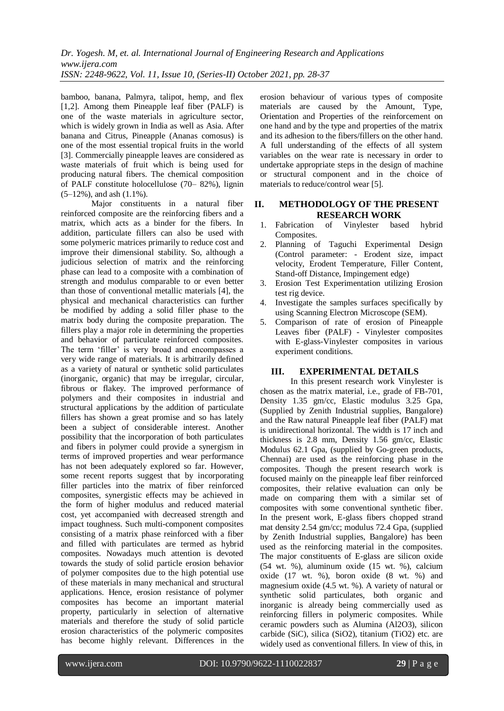bamboo, banana, Palmyra, talipot, hemp, and flex [1,2]. Among them Pineapple leaf fiber (PALF) is one of the waste materials in agriculture sector, which is widely grown in India as well as Asia. After banana and Citrus, Pineapple (Ananas comosus) is one of the most essential tropical fruits in the world [3]. Commercially pineapple leaves are considered as waste materials of fruit which is being used for producing natural fibers. The chemical composition of PALF constitute holocellulose (70– 82%), lignin  $(5-12\%)$ , and ash  $(1.1\%)$ .

Major constituents in a natural fiber reinforced composite are the reinforcing fibers and a matrix, which acts as a binder for the fibers. In addition, particulate fillers can also be used with some polymeric matrices primarily to reduce cost and improve their dimensional stability. So, although a judicious selection of matrix and the reinforcing phase can lead to a composite with a combination of strength and modulus comparable to or even better than those of conventional metallic materials [4], the physical and mechanical characteristics can further be modified by adding a solid filler phase to the matrix body during the composite preparation. The fillers play a major role in determining the properties and behavior of particulate reinforced composites. The term 'filler' is very broad and encompasses a very wide range of materials. It is arbitrarily defined as a variety of natural or synthetic solid particulates (inorganic, organic) that may be irregular, circular, fibrous or flakey. The improved performance of polymers and their composites in industrial and structural applications by the addition of particulate fillers has shown a great promise and so has lately been a subject of considerable interest. Another possibility that the incorporation of both particulates and fibers in polymer could provide a synergism in terms of improved properties and wear performance has not been adequately explored so far. However, some recent reports suggest that by incorporating filler particles into the matrix of fiber reinforced composites, synergistic effects may be achieved in the form of higher modulus and reduced material cost, yet accompanied with decreased strength and impact toughness. Such multi-component composites consisting of a matrix phase reinforced with a fiber and filled with particulates are termed as hybrid composites. Nowadays much attention is devoted towards the study of solid particle erosion behavior of polymer composites due to the high potential use of these materials in many mechanical and structural applications. Hence, erosion resistance of polymer composites has become an important material property, particularly in selection of alternative materials and therefore the study of solid particle erosion characteristics of the polymeric composites has become highly relevant. Differences in the

erosion behaviour of various types of composite materials are caused by the Amount, Type, Orientation and Properties of the reinforcement on one hand and by the type and properties of the matrix and its adhesion to the fibers/fillers on the other hand. A full understanding of the effects of all system variables on the wear rate is necessary in order to undertake appropriate steps in the design of machine or structural component and in the choice of materials to reduce/control wear [5].

## **II. METHODOLOGY OF THE PRESENT RESEARCH WORK**

- 1. Fabrication of Vinylester based hybrid Composites.
- 2. Planning of Taguchi Experimental Design (Control parameter: - Erodent size, impact velocity, Erodent Temperature, Filler Content, Stand-off Distance, Impingement edge)
- 3. Erosion Test Experimentation utilizing Erosion test rig device.
- 4. Investigate the samples surfaces specifically by using Scanning Electron Microscope (SEM).
- 5. Comparison of rate of erosion of Pineapple Leaves fiber (PALF) - Vinylester composites with E-glass-Vinylester composites in various experiment conditions.

## **III. EXPERIMENTAL DETAILS**

In this present research work Vinylester is chosen as the matrix material, i.e., grade of FB-701, Density 1.35 gm/cc, Elastic modulus 3.25 Gpa, (Supplied by Zenith Industrial supplies, Bangalore) and the Raw natural Pineapple leaf fiber (PALF) mat is unidirectional horizontal. The width is 17 inch and thickness is 2.8 mm, Density 1.56 gm/cc, Elastic Modulus 62.1 Gpa, (supplied by Go-green products, Chennai) are used as the reinforcing phase in the composites. Though the present research work is focused mainly on the pineapple leaf fiber reinforced composites, their relative evaluation can only be made on comparing them with a similar set of composites with some conventional synthetic fiber. In the present work, E-glass fibers chopped strand mat density 2.54 gm/cc; modulus 72.4 Gpa, (supplied by Zenith Industrial supplies, Bangalore) has been used as the reinforcing material in the composites. The major constituents of E-glass are silicon oxide (54 wt. %), aluminum oxide (15 wt. %), calcium oxide (17 wt. %), boron oxide (8 wt. %) and magnesium oxide (4.5 wt. %). A variety of natural or synthetic solid particulates, both organic and inorganic is already being commercially used as reinforcing fillers in polymeric composites. While ceramic powders such as Alumina (Al2O3), silicon carbide (SiC), silica (SiO2), titanium (TiO2) etc. are widely used as conventional fillers. In view of this, in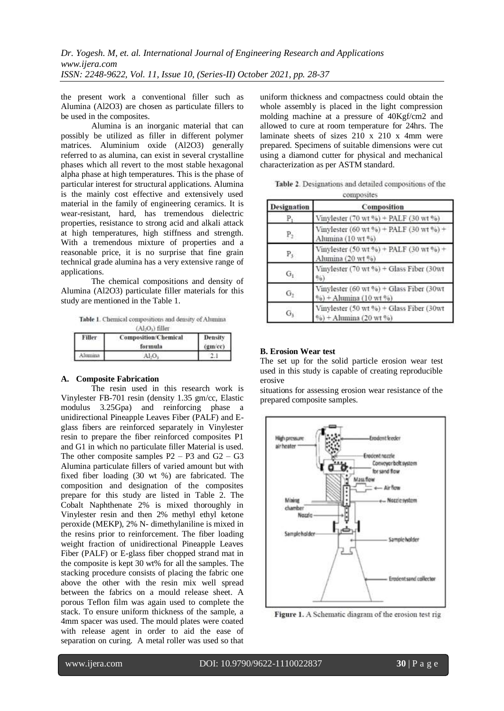the present work a conventional filler such as Alumina (Al2O3) are chosen as particulate fillers to be used in the composites.

Alumina is an inorganic material that can possibly be utilized as filler in different polymer matrices. Aluminium oxide (Al2O3) generally referred to as alumina, can exist in several crystalline phases which all revert to the most stable hexagonal alpha phase at high temperatures. This is the phase of particular interest for structural applications. Alumina is the mainly cost effective and extensively used material in the family of engineering ceramics. It is wear-resistant, hard, has tremendous dielectric properties, resistance to strong acid and alkali attack at high temperatures, high stiffness and strength. With a tremendous mixture of properties and a reasonable price, it is no surprise that fine grain technical grade alumina has a very extensive range of applications.

The chemical compositions and density of Alumina (Al2O3) particulate filler materials for this study are mentioned in the Table 1.

Table 1. Chemical compositions and density of Alumina  $(AI.O.)$  filler

| Filler   | <b>Composition/Chemical</b><br>formula | Density<br>$(gm$ $'cc)$ |
|----------|----------------------------------------|-------------------------|
| Alusmina | 41.0.                                  |                         |

## **A. Composite Fabrication**

The resin used in this research work is Vinylester FB-701 resin (density 1.35 gm/cc, Elastic modulus 3.25Gpa) and reinforcing phase a unidirectional Pineapple Leaves Fiber (PALF) and Eglass fibers are reinforced separately in Vinylester resin to prepare the fiber reinforced composites P1 and G1 in which no particulate filler Material is used. The other composite samples  $P2 - P3$  and  $G2 - G3$ Alumina particulate fillers of varied amount but with fixed fiber loading (30 wt %) are fabricated. The composition and designation of the composites prepare for this study are listed in Table 2. The Cobalt Naphthenate 2% is mixed thoroughly in Vinylester resin and then 2% methyl ethyl ketone peroxide (MEKP), 2% N- dimethylaniline is mixed in the resins prior to reinforcement. The fiber loading weight fraction of unidirectional Pineapple Leaves Fiber (PALF) or E-glass fiber chopped strand mat in the composite is kept 30 wt% for all the samples. The stacking procedure consists of placing the fabric one above the other with the resin mix well spread between the fabrics on a mould release sheet. A porous Teflon film was again used to complete the stack. To ensure uniform thickness of the sample, a 4mm spacer was used. The mould plates were coated with release agent in order to aid the ease of separation on curing. A metal roller was used so that

uniform thickness and compactness could obtain the whole assembly is placed in the light compression molding machine at a pressure of 40Kgf/cm2 and allowed to cure at room temperature for 24hrs. The laminate sheets of sizes 210 x 210 x 4mm were prepared. Specimens of suitable dimensions were cut using a diamond cutter for physical and mechanical characterization as per ASTM standard.

Table 2. Designations and detailed compositions of the connosites

| Designation    | Composition                                                                                  |
|----------------|----------------------------------------------------------------------------------------------|
| Р.             | Vinylester $(70 \text{ wt } 96) + PALF (30 \text{ wt } 96)$                                  |
| $P_2$          | Vinylester (60 wt %) + PALF (30 wt %) +<br>Alumina (10 wt %)                                 |
| $P_3$          | Vinylester (50 wt %) + PALF (30 wt %) +<br>Alumina (20 wt %)                                 |
| $G_t$          | Vinylester (70 wt %) + Glass Fiber (30wt<br>$^{0/0}$                                         |
| G <sub>2</sub> | Vinylester (60 wt %) + Glass Fiber (30wt<br>$%$ + Alumina (10 wt $%$ )                       |
| G1             | Vinylester (50 wt %) + Glass Fiber (30wt<br>$\frac{6}{96}$ + Alumina (20 wt $\frac{6}{96}$ ) |

## **B. Erosion Wear test**

The set up for the solid particle erosion wear test used in this study is capable of creating reproducible erosive

situations for assessing erosion wear resistance of the prepared composite samples.



Figure 1. A Schematic diagram of the erosion test rig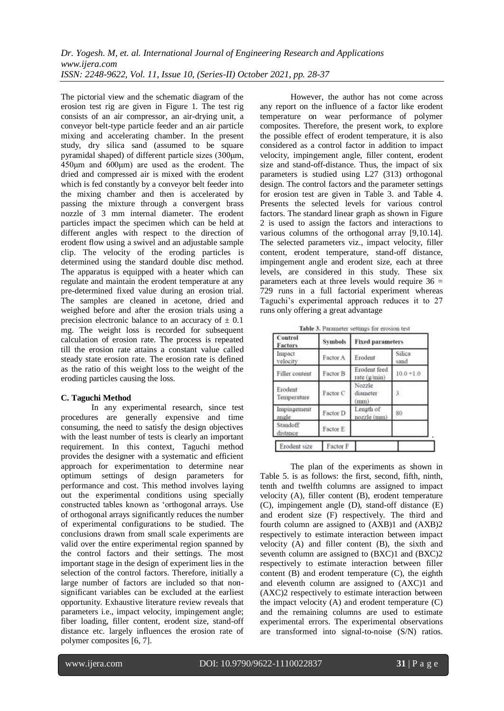The pictorial view and the schematic diagram of the erosion test rig are given in Figure 1. The test rig consists of an air compressor, an air-drying unit, a conveyor belt-type particle feeder and an air particle mixing and accelerating chamber. In the present study, dry silica sand (assumed to be square pyramidal shaped) of different particle sizes (300μm, 450μm and 600μm) are used as the erodent. The dried and compressed air is mixed with the erodent which is fed constantly by a conveyor belt feeder into the mixing chamber and then is accelerated by passing the mixture through a convergent brass nozzle of 3 mm internal diameter. The erodent particles impact the specimen which can be held at different angles with respect to the direction of erodent flow using a swivel and an adjustable sample clip. The velocity of the eroding particles is determined using the standard double disc method. The apparatus is equipped with a heater which can regulate and maintain the erodent temperature at any pre-determined fixed value during an erosion trial. The samples are cleaned in acetone, dried and weighed before and after the erosion trials using a precision electronic balance to an accuracy of  $\pm$  0.1 mg. The weight loss is recorded for subsequent calculation of erosion rate. The process is repeated till the erosion rate attains a constant value called steady state erosion rate. The erosion rate is defined as the ratio of this weight loss to the weight of the eroding particles causing the loss.

## **C. Taguchi Method**

In any experimental research, since test procedures are generally expensive and time consuming, the need to satisfy the design objectives with the least number of tests is clearly an important requirement. In this context, Taguchi method provides the designer with a systematic and efficient approach for experimentation to determine near optimum settings of design parameters for performance and cost. This method involves laying out the experimental conditions using specially constructed tables known as "orthogonal arrays. Use of orthogonal arrays significantly reduces the number of experimental configurations to be studied. The conclusions drawn from small scale experiments are valid over the entire experimental region spanned by the control factors and their settings. The most important stage in the design of experiment lies in the selection of the control factors. Therefore, initially a large number of factors are included so that nonsignificant variables can be excluded at the earliest opportunity. Exhaustive literature review reveals that parameters i.e., impact velocity, impingement angle; fiber loading, filler content, erodent size, stand-off distance etc. largely influences the erosion rate of polymer composites [6, 7].

However, the author has not come across any report on the influence of a factor like erodent temperature on wear performance of polymer composites. Therefore, the present work, to explore the possible effect of erodent temperature, it is also considered as a control factor in addition to impact velocity, impingement angle, filler content, erodent size and stand-off-distance. Thus, the impact of six parameters is studied using L27 (313) orthogonal design. The control factors and the parameter settings for erosion test are given in Table 3. and Table 4. Presents the selected levels for various control factors. The standard linear graph as shown in Figure 2 is used to assign the factors and interactions to various columns of the orthogonal array [9,10.14]. The selected parameters viz., impact velocity, filler content, erodent temperature, stand-off distance, impingement angle and erodent size, each at three levels, are considered in this study. These six parameters each at three levels would require 36 = 729 runs in a full factorial experiment whereas Taguchi"s experimental approach reduces it to 27 runs only offering a great advantage

|  | Table 3. Parameter settings for erosion test |  |  |  |  |  |
|--|----------------------------------------------|--|--|--|--|--|
|--|----------------------------------------------|--|--|--|--|--|

| <b>Symbols</b> | <b>Fixed parameters</b>      |                |  |  |
|----------------|------------------------------|----------------|--|--|
| Factor A       | Erodent                      | Silica<br>sand |  |  |
| Factor B       | Erodent feed<br>rate (g/min) | $10.0 + 1.0$   |  |  |
| Factor C       | Nozzie<br>diameter<br>mm)    | 3              |  |  |
| Factor D       | Length of<br>nozzle (mm)     | 80             |  |  |
| Factor E       |                              |                |  |  |
|                |                              |                |  |  |

The plan of the experiments as shown in Table 5. is as follows: the first, second, fifth, ninth, tenth and twelfth columns are assigned to impact velocity (A), filler content (B), erodent temperature (C), impingement angle (D), stand-off distance (E) and erodent size (F) respectively. The third and fourth column are assigned to (AXB)1 and (AXB)2 respectively to estimate interaction between impact velocity (A) and filler content (B), the sixth and seventh column are assigned to (BXC)1 and (BXC)2 respectively to estimate interaction between filler content (B) and erodent temperature (C), the eighth and eleventh column are assigned to (AXC)1 and (AXC)2 respectively to estimate interaction between the impact velocity (A) and erodent temperature (C) and the remaining columns are used to estimate experimental errors. The experimental observations are transformed into signal-to-noise (S/N) ratios.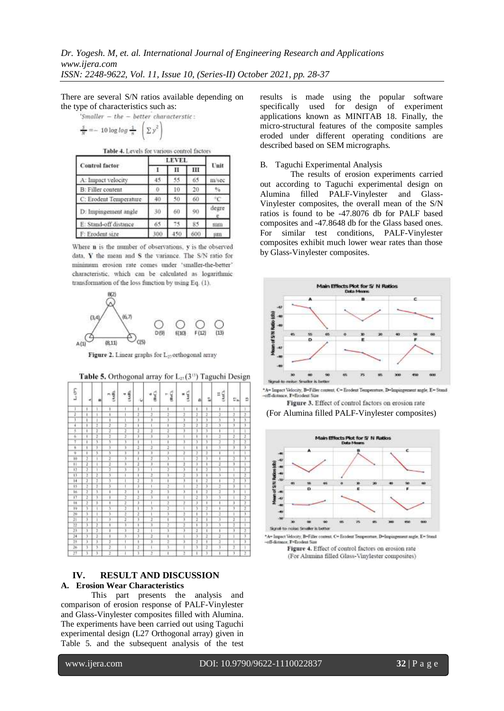There are several S/N ratios available depending on the type of characteristics such as:

'Smaller - the - better characteristic:  

$$
\frac{s}{N} = -10 \log \log \frac{1}{\pi} \left( \sum y^2 \right)
$$

Table 4. Levels for various control factors

|                          | <b>LEVEL</b> |     |     |       |
|--------------------------|--------------|-----|-----|-------|
| <b>Control factor</b>    | - 1          | н   | ш   | Unit  |
| A: Impact velocity       | 45           | 55  | 65  | m/sec |
| <b>B:</b> Filler content |              | 10  | 20  |       |
| C: Erodent Temperature   | 40           | 50  | 60  |       |
| D: Impingement angle     | 30           | 60  | 90  | degre |
| E: Stand-off distance    | 65           | 75  | 85  | mm    |
| F: Erodent size          | 300          | 450 | 600 | iim   |

Where n is the number of observations, v is the observed data, Y the mean and S the variance. The S/N ratio for minimum erosion rate comes under 'smaller-the-better' characteristic, which can be calculated as logarithmic transformation of the loss function by using Eq. (1).



Figure 2. Linear graphs for L<sub>22</sub> orthogonal array

**Table 5.** Orthogonal array for  $L_2(3)$ <sup>1</sup>) Taguchi Design

| S<br>J                  |    |    | (AxR)<br>$\left\vert \psi\right\rangle$ | (AuB)          |     | (BsC).<br>é | (BsC) | <b>LANCI</b> |               |    | $\frac{11}{(AB)}$ |          |               |
|-------------------------|----|----|-----------------------------------------|----------------|-----|-------------|-------|--------------|---------------|----|-------------------|----------|---------------|
|                         | ×  | 齒  |                                         |                | ıU. |             |       |              | 희             | î. |                   | $U_{in}$ | 兰             |
|                         | J. |    | ١                                       |                | ÷   |             | ı     |              | J.            | ı  | ı                 | x        | 3             |
| ï                       | J  |    |                                         |                | 7   | Ï           | ï     | ï            | 3             | 7  | ï                 | ī        | $\frac{2}{3}$ |
|                         | ı  |    | ۱                                       | л              | ï   | 3           | 3     | 3            | $\frac{3}{2}$ | 3  | $\lambda$         | 3        |               |
| 4                       | J  | 2  | 3                                       | 2              | ī   | ī           | ı     | 7            |               | 2  | 3                 | Ÿ        |               |
| ţ                       | 1  | ï  | 7                                       | ī              | ī   | ī           | 7     | ï            | 7             | 3  | ī                 | ī        | ī             |
| 6                       | ī  | t  | ŀ                                       | 2              | 3   | ä           | 3     |              | ī             | ī  | 1                 | 2        | Ť             |
| 7                       | ı  | ï  | S                                       | ī              | ī   |             | ī     | 1            | 7             | 3  | ĵ                 | ï        | Ï             |
| s                       | 1  | 7  | 3                                       | 3              | 7   | 2           | ī     | ı            | ī             | ī  | 3                 | 7        | 7             |
| $\overline{\mathbf{v}}$ | ï  | 3  | 3                                       | 3              | 3   | 3           | 3     | ï            | 7             | 7  | ı                 | ī        | ī             |
| 10                      | 7  |    | Ï                                       | 3              | ī   | 7           | 3     |              | 7             | 3  | ī                 | 7        | 7             |
| $\overline{1}$          | 7  |    | ī                                       | 3              | ī   | 3           | ı     | 1            | 3             | ī  | ï                 | 3        | Ţ             |
| $\overline{12}$         | 3  | ī  | 3                                       | 3              | 3   |             | 3     | 7            | ī             | 3  | 7                 | ī        | $\frac{2}{2}$ |
| $\overline{11}$         | 2  | 2  | 3                                       | ī              | ī   | 2           | 3     | 7            | 75            | ī  | 3.                | ī        |               |
| $\overline{14}$         | 3  | Ϊ  | ï                                       |                | 7   | ī           | ī     | ï            | ī             | 7  | ī                 | ï        | 7             |
| 15                      | 7  | t  | 3                                       |                | 3   |             | 2     |              | Î             | 3  | ž                 | 3        | Ŧ             |
| 16                      | 3  | 3, | 1                                       | ĭ              | ī   | 2           | ī     | x            | ī             | 3  | Ξ                 | 7        | ī             |
| $\overline{17}$         | 7  | 3  | 1                                       | 7              | 2   | ĭ           | ı     |              | ĩ             | 3  | ĭ                 | ī        | $\frac{3}{2}$ |
| 18                      | 7  | x  | 1                                       | $\overline{1}$ | 3   |             | 2     | 2            | ä             | 1  | ì                 | 3        |               |
| 19                      | 3  | I  | 3                                       | 3              | ī   | 3           | 5     | ī            | 7             | 7  | ī                 | 7        |               |
| $\frac{1}{20}$          | 3  | 1  | 3                                       | $\frac{2}{2}$  | 7   |             | 3     | ä            | ī             | 3  | ī                 | ī        | 7             |
| 31                      | 7  |    | 3                                       |                | 7   | ž           | ١     | э            | 3             | ī  | 3                 | Ï        | Ť             |
| 12                      | 7  | Ŧ  | ī                                       | ī              | ī   | ī           | ž     | 7            | ī             | 3  | 3                 | 7        | Ť             |
| $\overline{23}$         | 3  | Ξ  | ï                                       | 3              | 2   |             | 3     | 3            | 2             | ï  | ī                 | ï        | $\frac{2}{3}$ |
| $\overline{24}$         | 3  | 2  | I                                       | 7              | 7   | ï           | ı     |              | 7             | 7  | ī                 | I        |               |
| 23                      | 3  | J. | 2                                       | ï              | t   | 3           | 2     | э            | а             | Ť  | ž                 | ĭ        | 7             |
| $\overline{26}$         | 3  | 3  | ī                                       |                | 7   |             | 3     |              | 7             | 7  | ī<br>٠.           | 3        | ī             |
| 27                      | 3  | ī  | ž                                       |                | ī   | 3           | ī     | 3            | ī             | ī  | ī.                | ī        | Ï             |

## **IV. RESULT AND DISCUSSION A. Erosion Wear Characteristics**

This part presents the analysis and comparison of erosion response of PALF-Vinylester and Glass-Vinylester composites filled with Alumina. The experiments have been carried out using Taguchi experimental design (L27 Orthogonal array) given in Table 5. and the subsequent analysis of the test

results is made using the popular software specifically used for design of experiment applications known as MINITAB 18. Finally, the micro-structural features of the composite samples eroded under different operating conditions are described based on SEM micrographs.

#### B. Taguchi Experimental Analysis

The results of erosion experiments carried out according to Taguchi experimental design on Alumina filled PALF-Vinylester and Glass-Vinylester composites, the overall mean of the S/N ratios is found to be -47.8076 db for PALF based composites and -47.8648 db for the Glass based ones. For similar test conditions, PALF-Vinylester composites exhibit much lower wear rates than those by Glass-Vinylester composites.



\*A= Impact Velocity, B=Filler content, C= Erodent Temper  $e.$  F=5 Figure 3. Effect of control factors on erosion rate

(For Alumina filled PALF-Vinylester composites)



 $x.$ F=E

Figure 4. Effect of control factors on erosion rate (For Alumina filled Glass-Vinylester composites)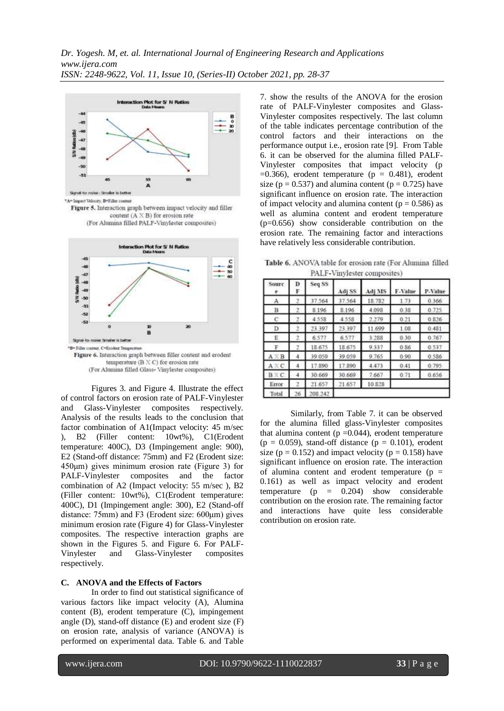



(For Alumina filled Glass-Vinylester composites)

Figures 3. and Figure 4. Illustrate the effect of control factors on erosion rate of PALF-Vinylester and Glass-Vinylester composites respectively. Analysis of the results leads to the conclusion that factor combination of A1(Impact velocity: 45 m/sec ), B2 (Filler content: 10wt%), C1(Erodent temperature: 400C), D3 (Impingement angle: 900), E2 (Stand-off distance: 75mm) and F2 (Erodent size: 450μm) gives minimum erosion rate (Figure 3) for PALF-Vinylester composites and the factor combination of A2 (Impact velocity: 55 m/sec ), B2 (Filler content: 10wt%), C1(Erodent temperature: 400C), D1 (Impingement angle: 300), E2 (Stand-off distance: 75mm) and F3 (Erodent size: 600μm) gives minimum erosion rate (Figure 4) for Glass-Vinylester composites. The respective interaction graphs are shown in the Figures 5. and Figure 6. For PALF-Vinylester and Glass-Vinylester composites respectively.

#### **C. ANOVA and the Effects of Factors**

In order to find out statistical significance of various factors like impact velocity (A), Alumina content (B), erodent temperature (C), impingement angle (D), stand-off distance (E) and erodent size (F) on erosion rate, analysis of variance (ANOVA) is performed on experimental data. Table 6. and Table

7. show the results of the ANOVA for the erosion rate of PALF-Vinylester composites and Glass-Vinylester composites respectively. The last column of the table indicates percentage contribution of the control factors and their interactions on the performance output i.e., erosion rate [9]. From Table 6. it can be observed for the alumina filled PALF-Vinylester composites that impact velocity (p  $=0.366$ ), erodent temperature (p  $= 0.481$ ), erodent size ( $p = 0.537$ ) and alumina content ( $p = 0.725$ ) have significant influence on erosion rate. The interaction of impact velocity and alumina content ( $p = 0.586$ ) as well as alumina content and erodent temperature (p=0.656) show considerable contribution on the erosion rate. The remaining factor and interactions have relatively less considerable contribution.

Table 6. ANOVA table for erosion rate (For Alumina filled PALF-Vinylester composites)

| Sourc<br>e.  | Ð<br>F | Seq SS  | Adj SS | Adj MS | F-Value | P-Value |
|--------------|--------|---------|--------|--------|---------|---------|
| А            | Σ      | 37.564  | 37.564 | 18.782 | 1.73    | 0.366   |
| B            | 2      | 8.196   | 8.196  | 4.098  | 0.38    | 0.725   |
| с            |        | 4.558   | 4.558  | 2.279  | 0.21    | 0.826   |
| D            |        | 23.397  | 23.397 | 11.699 | 1.08    | 0.481   |
| Ë            | 2      | 6.577   | 6.577  | 3.288  | 0.30    | 0.767   |
| F            | 2      | 18.675  | 18.675 | 9.337  | 0.86    | 0.537   |
| $A \times B$ | 4      | 39.059  | 39.059 | 9.765  | 0.90    | 0.586   |
| $A \times C$ | 4      | 17.890  | 17.890 | 4.473  | 0.41    | 0.795   |
| <b>BXC</b>   | 4      | 30.669  | 30.669 | 7.667  | 0.71    | 0.656   |
| Error        | 2      | 21.657  | 21.657 | 10.828 |         |         |
| Total        | 26     | 208.242 |        |        |         |         |

Similarly, from Table 7. it can be observed for the alumina filled glass-Vinylester composites that alumina content ( $p = 0.044$ ), erodent temperature  $(p = 0.059)$ , stand-off distance  $(p = 0.101)$ , erodent size ( $p = 0.152$ ) and impact velocity ( $p = 0.158$ ) have significant influence on erosion rate. The interaction of alumina content and erodent temperature ( $p =$ 0.161) as well as impact velocity and erodent temperature  $(p = 0.204)$  show considerable contribution on the erosion rate. The remaining factor and interactions have quite less considerable contribution on erosion rate.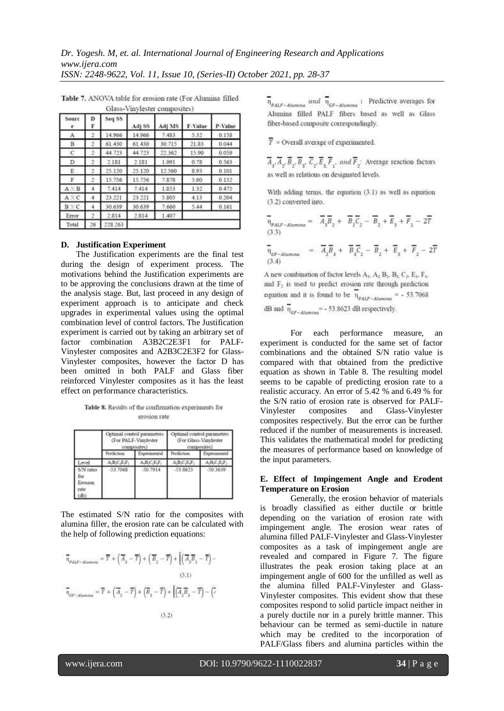| Sourc<br>٠   | D<br>F | Seq SS  | Adj SS | Adj MS | F-Value | P-Value |
|--------------|--------|---------|--------|--------|---------|---------|
| A            | 2      | 14.966  | 14.966 | 7,483  | 5.32    | 0.158   |
| в            | 2      | 61.430  | 61.430 | 30.715 | 21:83   | 0.044   |
| c            | 2      | 44.723  | 44.723 | 22.362 | 15.90   | 0.059   |
| D.           | 2      | 2.181   | 2.181  | 1.091  | 0.78    | 0.563   |
| Έ            | 2      | 25.120  | 25.120 | 12.560 | 8.93    | 0.101   |
| F            | 2      | 15.756  | 15.756 | 7.878  | 5.60    | 0.152   |
| $A \times B$ | 4      | 7.414   | 7.414  | 1.853  | 1.32    | 0.475   |
| $A \times C$ | 4      | 23.221  | 23.221 | 5.805  | 4.13    | 0.204   |
| B KC         | 4      | 30.639  | 30.639 | 7,660  | 5.44    | 0.161   |
| Error        | 2      | 2.814   | 2.814  | 1.407  |         |         |
| Total        | 26     | 228.263 |        |        |         |         |

Table 7. ANOVA table for erosion rate (For Alumina filled Glass-Vinylester composites)

#### **D. Justification Experiment**

The Justification experiments are the final test during the design of experiment process. The motivations behind the Justification experiments are to be approving the conclusions drawn at the time of the analysis stage. But, last proceed in any design of experiment approach is to anticipate and check upgrades in experimental values using the optimal combination level of control factors. The Justification experiment is carried out by taking an arbitrary set of factor combination A3B2C2E3F1 for PALF-Vinylester composites and A2B3C2E3F2 for Glass-Vinylester composites, however the factor D has been omitted in both PALF and Glass fiber reinforced Vinylester composites as it has the least effect on performance characteristics.

Table 8. Results of the confirmation experiments for erosion rate

|                                             |            | Optimal control parameters<br>(For PALF-Vinylester)<br>composites) | Optimal control parameters<br>(For Glass-Vinylester)<br>composites |            |  |
|---------------------------------------------|------------|--------------------------------------------------------------------|--------------------------------------------------------------------|------------|--|
|                                             | Predorment | Experimental                                                       | Predictions                                                        | Execuments |  |
| evel                                        | LBC-EF     | A.B.C.E.F                                                          | A.B.C.E.F.                                                         | A-B-C-E-F  |  |
| S/N ratio<br>for<br>Erosinn<br>nste<br>(db) | $-53.7068$ | .50.7914                                                           | $-53.8623$                                                         | $-50.3639$ |  |

The estimated S/N ratio for the composites with alumina filler, the erosion rate can be calculated with the help of following prediction equations:

$$
\overline{\eta}_{PALP-Aluntons} = \overline{T} + \left(\overline{A}_s - \overline{T}\right) + \left(\overline{B}_2 - \overline{T}\right) + \left[\left(\overline{A}_3\overline{B}_2 - \overline{T}\right) - \right]
$$
\n(3.1)  
\n
$$
\overline{\eta}_{GF-Aluntms} = \overline{T} + \left(\overline{A}_2 - \overline{T}\right) + \left(\overline{B}_3 - \overline{T}\right) + \left[\left(\overline{A}_2\overline{B}_3 - \overline{T}\right) - \left(\overline{A}_3\overline{B}_3 - \overline{T}\right)\right]
$$
\n(3.2)

 $\overline{\eta}_{PALF-Alumma}$  and  $\overline{\eta}_{GF-Alumma}$ : Predictive averages for Alumina filled PALF fibers based as well as Glass fiber-based composite correspondingly.

 $\overline{T}$  = Overall average of experimented.

 $\overline{A}_1$ ,  $\overline{A}_2$ ,  $\overline{B}_3$ ,  $\overline{C}_4$ ,  $\overline{E}_5$ ,  $\overline{F}_4$ , and  $\overline{F}_5$ . Average reaction factors as well as relations on designated levels.

With adding terms, the equation  $(3.1)$  as well as equation (3.2) converted into.

$$
\overline{\eta}_{\substack{PALF-Aluminar} \atop (3.3)}} = \overline{A}_3 \overline{B}_2 + \overline{B}_2 \overline{C}_2 - \overline{B}_2 + \overline{E}_3 + \overline{F}_1 - 2\overline{T}
$$
\n
$$
\overline{\eta}_{\substack{SF-Aluminar} \atop (3.4)}} = \overline{A}_2 \overline{B}_3 + \overline{B}_3 \overline{C}_2 - \overline{B}_2 + \overline{E}_3 + \overline{F}_2 - 2\overline{T}
$$

A new combination of factor levels  $A_1$ ,  $A_2$ ,  $B_3$ ,  $B_3$ ,  $C_3$ ,  $E_4$ ,  $F_1$ , and F<sub>2</sub> is used to predict erosion rate through prediction equation and it is found to be  $\eta_{p_{ALP-Ałumina}}$  = - 53.7068 dB and  $\overline{\eta}_{\mu\nu=Atumn}$  = - 53.8623 dB respectively.

For each performance measure, an experiment is conducted for the same set of factor combinations and the obtained S/N ratio value is compared with that obtained from the predictive equation as shown in Table 8. The resulting model seems to be capable of predicting erosion rate to a realistic accuracy. An error of 5.42 % and 6.49 % for the S/N ratio of erosion rate is observed for PALF-Vinylester composites and Glass-Vinylester composites respectively. But the error can be further reduced if the number of measurements is increased. This validates the mathematical model for predicting the measures of performance based on knowledge of the input parameters.

#### **E. Effect of Impingement Angle and Erodent Temperature on Erosion**

Generally, the erosion behavior of materials is broadly classified as either ductile or brittle depending on the variation of erosion rate with impingement angle. The erosion wear rates of alumina filled PALF-Vinylester and Glass-Vinylester composites as a task of impingement angle are revealed and compared in Figure 7. The figure illustrates the peak erosion taking place at an impingement angle of 600 for the unfilled as well as the alumina filled PALF-Vinylester and Glass-Vinylester composites. This evident show that these composites respond to solid particle impact neither in a purely ductile nor in a purely brittle manner. This behaviour can be termed as semi-ductile in nature which may be credited to the incorporation of PALF/Glass fibers and alumina particles within the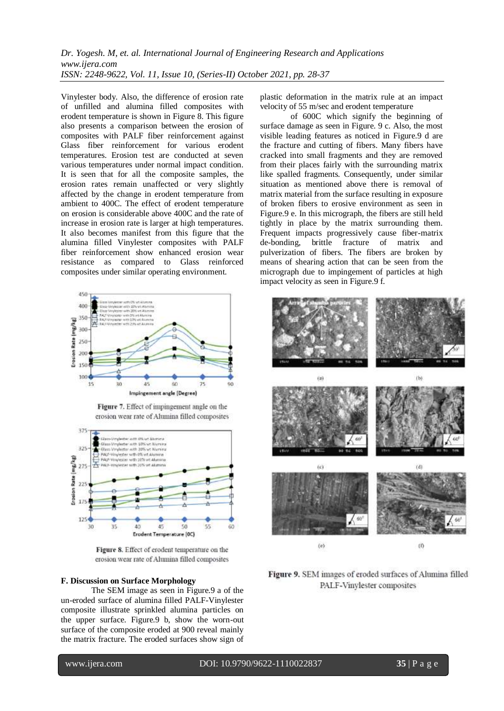## *Dr. Yogesh. M, et. al. International Journal of Engineering Research and Applications www.ijera.com ISSN: 2248-9622, Vol. 11, Issue 10, (Series-II) October 2021, pp. 28-37*

Vinylester body. Also, the difference of erosion rate of unfilled and alumina filled composites with erodent temperature is shown in Figure 8. This figure also presents a comparison between the erosion of composites with PALF fiber reinforcement against Glass fiber reinforcement for various erodent temperatures. Erosion test are conducted at seven various temperatures under normal impact condition. It is seen that for all the composite samples, the erosion rates remain unaffected or very slightly affected by the change in erodent temperature from ambient to 400C. The effect of erodent temperature on erosion is considerable above 400C and the rate of increase in erosion rate is larger at high temperatures. It also becomes manifest from this figure that the alumina filled Vinylester composites with PALF fiber reinforcement show enhanced erosion wear resistance as compared to Glass reinforced composites under similar operating environment.



Figure 7. Effect of impingement angle on the erosion wear rate of Alumina filled composites



Figure 8. Effect of erodent temperature on the erosion wear rate of Alumina filled composites

## **F. Discussion on Surface Morphology**

The SEM image as seen in Figure.9 a of the un-eroded surface of alumina filled PALF-Vinylester composite illustrate sprinkled alumina particles on the upper surface. Figure.9 b, show the worn-out surface of the composite eroded at 900 reveal mainly the matrix fracture. The eroded surfaces show sign of plastic deformation in the matrix rule at an impact velocity of 55 m/sec and erodent temperature

of 600C which signify the beginning of surface damage as seen in Figure. 9 c. Also, the most visible leading features as noticed in Figure.9 d are the fracture and cutting of fibers. Many fibers have cracked into small fragments and they are removed from their places fairly with the surrounding matrix like spalled fragments. Consequently, under similar situation as mentioned above there is removal of matrix material from the surface resulting in exposure of broken fibers to erosive environment as seen in Figure.9 e. In this micrograph, the fibers are still held tightly in place by the matrix surrounding them. Frequent impacts progressively cause fiber-matrix de-bonding, brittle fracture of matrix and pulverization of fibers. The fibers are broken by means of shearing action that can be seen from the micrograph due to impingement of particles at high impact velocity as seen in Figure.9 f.



Figure 9. SEM images of eroded surfaces of Alumina filled PALF-Vinylester composites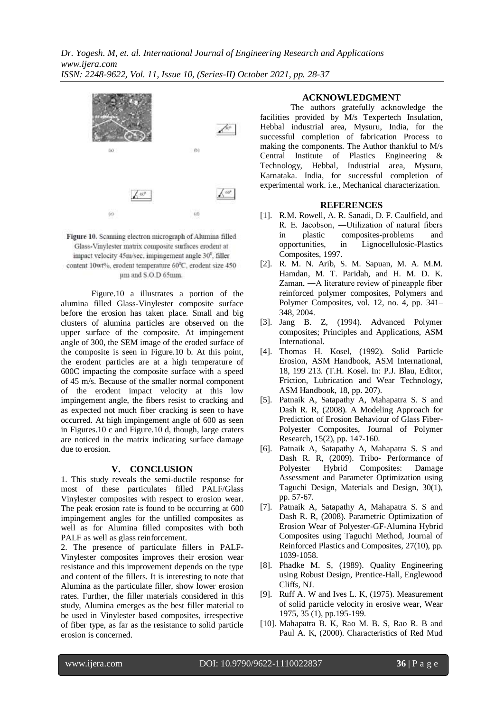



Figure.10 a illustrates a portion of the alumina filled Glass-Vinylester composite surface before the erosion has taken place. Small and big clusters of alumina particles are observed on the upper surface of the composite. At impingement angle of 300, the SEM image of the eroded surface of the composite is seen in Figure.10 b. At this point, the erodent particles are at a high temperature of 600C impacting the composite surface with a speed of 45 m/s. Because of the smaller normal component of the erodent impact velocity at this low impingement angle, the fibers resist to cracking and as expected not much fiber cracking is seen to have occurred. At high impingement angle of 600 as seen in Figures.10 c and Figure.10 d, though, large craters are noticed in the matrix indicating surface damage due to erosion.

#### **V. CONCLUSION**

1. This study reveals the semi-ductile response for most of these particulates filled PALF/Glass Vinylester composites with respect to erosion wear. The peak erosion rate is found to be occurring at 600 impingement angles for the unfilled composites as well as for Alumina filled composites with both PALF as well as glass reinforcement.

2. The presence of particulate fillers in PALF-Vinylester composites improves their erosion wear resistance and this improvement depends on the type and content of the fillers. It is interesting to note that Alumina as the particulate filler, show lower erosion rates. Further, the filler materials considered in this study, Alumina emerges as the best filler material to be used in Vinylester based composites, irrespective of fiber type, as far as the resistance to solid particle erosion is concerned.

#### **ACKNOWLEDGMENT**

The authors gratefully acknowledge the facilities provided by M/s Texpertech Insulation, Hebbal industrial area, Mysuru, India, for the successful completion of fabrication Process to making the components. The Author thankful to M/s Central Institute of Plastics Engineering & Technology, Hebbal, Industrial area, Mysuru, Karnataka. India, for successful completion of experimental work. i.e., Mechanical characterization.

#### **REFERENCES**

- [1]. R.M. Rowell, A. R. Sanadi, D. F. Caulfield, and R. E. Jacobson, ―Utilization of natural fibers in plastic composites-problems and opportunities, in Lignocellulosic-Plastics Composites, 1997.
- [2]. R. M. N. Arib, S. M. Sapuan, M. A. M.M. Hamdan, M. T. Paridah, and H. M. D. K. Zaman, ―A literature review of pineapple fiber reinforced polymer composites, Polymers and Polymer Composites, vol. 12, no. 4, pp. 341– 348, 2004.
- [3]. Jang B. Z, (1994). Advanced Polymer composites; Principles and Applications, ASM International.
- [4]. Thomas H. Kosel, (1992). Solid Particle Erosion, ASM Handbook, ASM International, 18, 199 213. (T.H. Kosel. In: P.J. Blau, Editor, Friction, Lubrication and Wear Technology, ASM Handbook, 18, pp. 207).
- [5]. Patnaik A, Satapathy A, Mahapatra S. S and Dash R. R, (2008). A Modeling Approach for Prediction of Erosion Behaviour of Glass Fiber-Polyester Composites, Journal of Polymer Research, 15(2), pp. 147-160.
- [6]. Patnaik A, Satapathy A, Mahapatra S. S and Dash R. R, (2009). Tribo- Performance of Polyester Hybrid Composites: Damage Assessment and Parameter Optimization using Taguchi Design, Materials and Design, 30(1), pp. 57-67.
- [7]. Patnaik A, Satapathy A, Mahapatra S. S and Dash R. R, (2008). Parametric Optimization of Erosion Wear of Polyester-GF-Alumina Hybrid Composites using Taguchi Method, Journal of Reinforced Plastics and Composites, 27(10), pp. 1039-1058.
- [8]. Phadke M. S, (1989). Quality Engineering using Robust Design, Prentice-Hall, Englewood Cliffs, NJ.
- [9]. Ruff A. W and Ives L. K, (1975). Measurement of solid particle velocity in erosive wear, Wear 1975, 35 (1), pp.195-199.
- [10]. Mahapatra B. K, Rao M. B. S, Rao R. B and Paul A. K, (2000). Characteristics of Red Mud